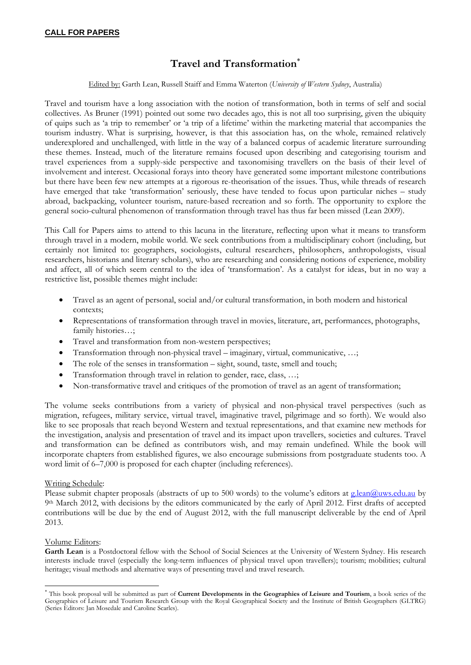## **Travel and Transformation**

Edited by: Garth Lean, Russell Staiff and Emma Waterton (*University of Western Sydney*, Australia)

Travel and tourism have a long association with the notion of transformation, both in terms of self and social collectives. As Bruner (1991) pointed out some two decades ago, this is not all too surprising, given the ubiquity of quips such as 'a trip to remember' or 'a trip of a lifetime' within the marketing material that accompanies the tourism industry. What is surprising, however, is that this association has, on the whole, remained relatively underexplored and unchallenged, with little in the way of a balanced corpus of academic literature surrounding these themes. Instead, much of the literature remains focused upon describing and categorising tourism and travel experiences from a supply-side perspective and taxonomising travellers on the basis of their level of involvement and interest. Occasional forays into theory have generated some important milestone contributions but there have been few new attempts at a rigorous re-theorisation of the issues. Thus, while threads of research have emerged that take 'transformation' seriously, these have tended to focus upon particular niches – study abroad, backpacking, volunteer tourism, nature-based recreation and so forth. The opportunity to explore the general socio-cultural phenomenon of transformation through travel has thus far been missed (Lean 2009).

This Call for Papers aims to attend to this lacuna in the literature, reflecting upon what it means to transform through travel in a modern, mobile world. We seek contributions from a multidisciplinary cohort (including, but certainly not limited to: geographers, sociologists, cultural researchers, philosophers, anthropologists, visual researchers, historians and literary scholars), who are researching and considering notions of experience, mobility and affect, all of which seem central to the idea of 'transformation'. As a catalyst for ideas, but in no way a restrictive list, possible themes might include:

- Travel as an agent of personal, social and/or cultural transformation, in both modern and historical contexts;
- Representations of transformation through travel in movies, literature, art, performances, photographs, family histories…;
- Travel and transformation from non-western perspectives;
- Transformation through non-physical travel imaginary, virtual, communicative, …;
- The role of the senses in transformation sight, sound, taste, smell and touch;
- Transformation through travel in relation to gender, race, class, …;
- Non-transformative travel and critiques of the promotion of travel as an agent of transformation;

The volume seeks contributions from a variety of physical and non-physical travel perspectives (such as migration, refugees, military service, virtual travel, imaginative travel, pilgrimage and so forth). We would also like to see proposals that reach beyond Western and textual representations, and that examine new methods for the investigation, analysis and presentation of travel and its impact upon travellers, societies and cultures. Travel and transformation can be defined as contributors wish, and may remain undefined. While the book will incorporate chapters from established figures, we also encourage submissions from postgraduate students too. A word limit of  $6-7,000$  is proposed for each chapter (including references).

## Writing Schedule:

Please submit chapter proposals (abstracts of up to 500 words) to the volume's editors at g.lean@uws.edu.au by 9th March 2012, with decisions by the editors communicated by the early of April 2012. First drafts of accepted contributions will be due by the end of August 2012, with the full manuscript deliverable by the end of April 2013.

## Volume Editors:

**Garth Lean** is a Postdoctoral fellow with the School of Social Sciences at the University of Western Sydney. His research interests include travel (especially the long-term influences of physical travel upon travellers); tourism; mobilities; cultural heritage; visual methods and alternative ways of presenting travel and travel research.

 This book proposal will be submitted as part of **Current Developments in the Geographies of Leisure and Tourism**, a book series of the Geographies of Leisure and Tourism Research Group with the Royal Geographical Society and the Institute of British Geographers (GLTRG) (Series Editors: Jan Mosedale and Caroline Scarles).